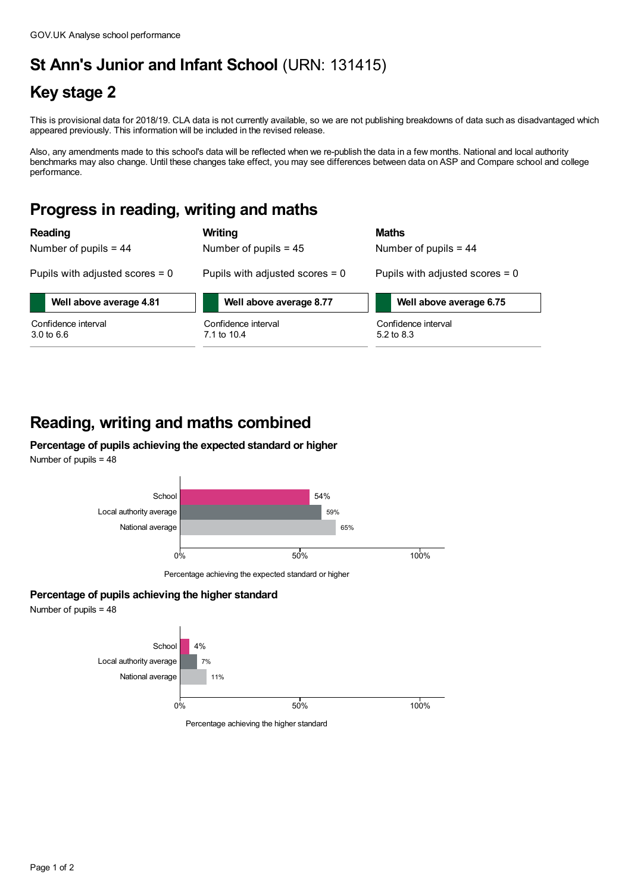# **St Ann's Junior and Infant School** (URN: 131415)

## **Key stage 2**

This is provisional data for 2018/19. CLA data is not currently available, so we are not publishing breakdowns of data such as disadvantaged which appeared previously. This information will be included in the revised release.

Also, any amendments made to this school's data will be reflected when we re-publish the data in a few months. National and local authority benchmarks may also change. Until these changes take effect, you may see differences between data on ASP and Compare school and college performance.

#### **Progress in reading, writing and maths**

| <b>Reading</b>                               | Writing                            | <b>Maths</b>                      |
|----------------------------------------------|------------------------------------|-----------------------------------|
| Number of pupils $= 44$                      | Number of pupils $= 45$            | Number of pupils $= 44$           |
| Pupils with adjusted scores $= 0$            | Pupils with adjusted scores $= 0$  | Pupils with adjusted scores $= 0$ |
| Well above average 4.81                      | Well above average 8.77            | Well above average 6.75           |
| Confidence interval<br>$3.0 \text{ to } 6.6$ | Confidence interval<br>7.1 to 10.4 | Confidence interval<br>5.2 to 8.3 |

### **Reading, writing and maths combined**

#### **Percentage of pupils achieving the expected standard or higher** Number of pupils = 48



Percentage achieving the expected standard or higher

#### **Percentage of pupils achieving the higher standard**

Number of pupils = 48